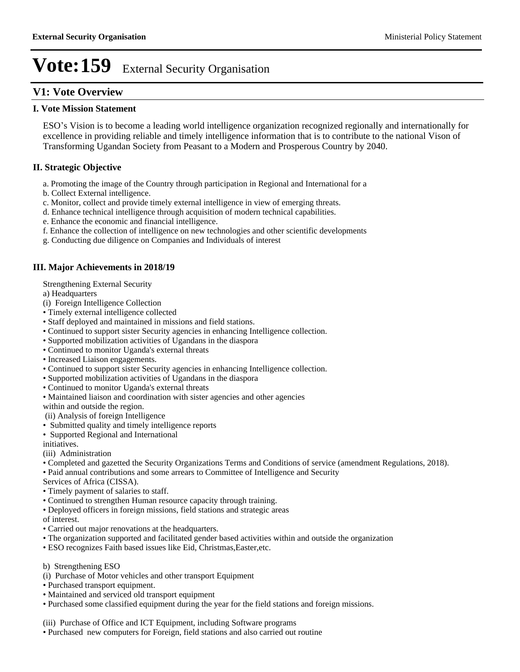## **V1: Vote Overview**

### **I. Vote Mission Statement**

ESO's Vision is to become a leading world intelligence organization recognized regionally and internationally for excellence in providing reliable and timely intelligence information that is to contribute to the national Vison of Transforming Ugandan Society from Peasant to a Modern and Prosperous Country by 2040.

## **II. Strategic Objective**

- a. Promoting the image of the Country through participation in Regional and International for a
- b. Collect External intelligence.
- c. Monitor, collect and provide timely external intelligence in view of emerging threats.
- d. Enhance technical intelligence through acquisition of modern technical capabilities.
- e. Enhance the economic and financial intelligence.
- f. Enhance the collection of intelligence on new technologies and other scientific developments
- g. Conducting due diligence on Companies and Individuals of interest

## **III. Major Achievements in 2018/19**

Strengthening External Security

- a) Headquarters
- (i) Foreign Intelligence Collection
- Timely external intelligence collected
- Staff deployed and maintained in missions and field stations.
- Continued to support sister Security agencies in enhancing Intelligence collection.
- Supported mobilization activities of Ugandans in the diaspora
- Continued to monitor Uganda's external threats
- Increased Liaison engagements.
- Continued to support sister Security agencies in enhancing Intelligence collection.
- Supported mobilization activities of Ugandans in the diaspora
- Continued to monitor Uganda's external threats
- Maintained liaison and coordination with sister agencies and other agencies
- within and outside the region. (ii) Analysis of foreign Intelligence
- Submitted quality and timely intelligence reports
- Supported Regional and International
- initiatives.
- (iii) Administration
- Completed and gazetted the Security Organizations Terms and Conditions of service (amendment Regulations, 2018).
- Paid annual contributions and some arrears to Committee of Intelligence and Security
- Services of Africa (CISSA).
- Timely payment of salaries to staff.
- Continued to strengthen Human resource capacity through training.
- Deployed officers in foreign missions, field stations and strategic areas of interest.
- Carried out major renovations at the headquarters.
- The organization supported and facilitated gender based activities within and outside the organization
- ESO recognizes Faith based issues like Eid, Christmas,Easter,etc.
- b) Strengthening ESO
- (i) Purchase of Motor vehicles and other transport Equipment
- Purchased transport equipment.
- Maintained and serviced old transport equipment
- Purchased some classified equipment during the year for the field stations and foreign missions.

(iii) Purchase of Office and ICT Equipment, including Software programs

Purchased new computers for Foreign, field stations and also carried out routine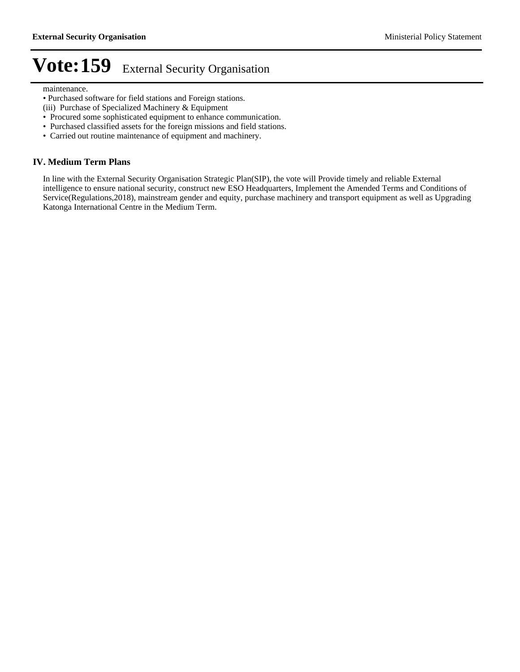maintenance.

- Purchased software for field stations and Foreign stations.
- (iii) Purchase of Specialized Machinery & Equipment
- Procured some sophisticated equipment to enhance communication.
- Purchased classified assets for the foreign missions and field stations.
- Carried out routine maintenance of equipment and machinery.

## **IV. Medium Term Plans**

In line with the External Security Organisation Strategic Plan(SIP), the vote will Provide timely and reliable External intelligence to ensure national security, construct new ESO Headquarters, Implement the Amended Terms and Conditions of Service(Regulations,2018), mainstream gender and equity, purchase machinery and transport equipment as well as Upgrading Katonga International Centre in the Medium Term.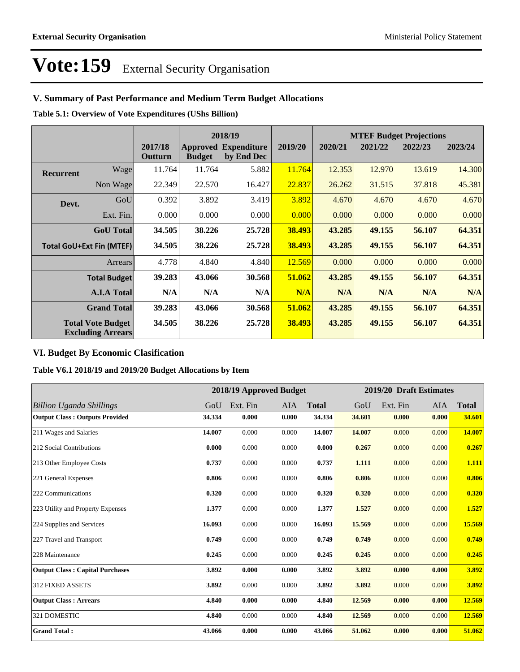## **V. Summary of Past Performance and Medium Term Budget Allocations**

**Table 5.1: Overview of Vote Expenditures (UShs Billion)**

|                                                      |                  | 2018/19            |               | <b>MTEF Budget Projections</b>            |         |         |         |         |         |
|------------------------------------------------------|------------------|--------------------|---------------|-------------------------------------------|---------|---------|---------|---------|---------|
|                                                      |                  | 2017/18<br>Outturn | <b>Budget</b> | <b>Approved Expenditure</b><br>by End Dec | 2019/20 | 2020/21 | 2021/22 | 2022/23 | 2023/24 |
| <b>Recurrent</b>                                     | Wage             | 11.764             | 11.764        | 5.882                                     | 11.764  | 12.353  | 12.970  | 13.619  | 14.300  |
|                                                      | Non Wage         | 22.349             | 22.570        | 16.427                                    | 22.837  | 26.262  | 31.515  | 37.818  | 45.381  |
| Devt.                                                | GoU              | 0.392              | 3.892         | 3.419                                     | 3.892   | 4.670   | 4.670   | 4.670   | 4.670   |
|                                                      | Ext. Fin.        | 0.000              | 0.000         | 0.000                                     | 0.000   | 0.000   | 0.000   | 0.000   | 0.000   |
|                                                      | <b>GoU</b> Total | 34.505             | 38.226        | 25.728                                    | 38.493  | 43.285  | 49.155  | 56.107  | 64.351  |
| <b>Total GoU+Ext Fin (MTEF)</b>                      |                  | 34.505             | 38.226        | 25.728                                    | 38.493  | 43.285  | 49.155  | 56.107  | 64.351  |
| <b>Arrears</b>                                       |                  | 4.778              | 4.840         | 4.840                                     | 12.569  | 0.000   | 0.000   | 0.000   | 0.000   |
| <b>Total Budget</b>                                  |                  | 39.283             | 43.066        | 30.568                                    | 51.062  | 43.285  | 49.155  | 56.107  | 64.351  |
| <b>A.I.A Total</b>                                   |                  | N/A                | N/A           | N/A                                       | N/A     | N/A     | N/A     | N/A     | N/A     |
| <b>Grand Total</b>                                   |                  | 39.283             | 43.066        | 30.568                                    | 51.062  | 43.285  | 49.155  | 56.107  | 64.351  |
| <b>Total Vote Budget</b><br><b>Excluding Arrears</b> |                  | 34.505             | 38.226        | 25.728                                    | 38.493  | 43.285  | 49.155  | 56.107  | 64.351  |

## **VI. Budget By Economic Clasification**

**Table V6.1 2018/19 and 2019/20 Budget Allocations by Item**

|                                        |        | 2018/19 Approved Budget |       |              |        | 2019/20 Draft Estimates |            |              |
|----------------------------------------|--------|-------------------------|-------|--------------|--------|-------------------------|------------|--------------|
| <b>Billion Uganda Shillings</b>        | GoU    | Ext. Fin                | AIA   | <b>Total</b> | GoU    | Ext. Fin                | <b>AIA</b> | <b>Total</b> |
| <b>Output Class: Outputs Provided</b>  | 34.334 | 0.000                   | 0.000 | 34.334       | 34.601 | 0.000                   | 0.000      | 34.601       |
| 211 Wages and Salaries                 | 14.007 | 0.000                   | 0.000 | 14.007       | 14.007 | 0.000                   | 0.000      | 14.007       |
| 212 Social Contributions               | 0.000  | 0.000                   | 0.000 | 0.000        | 0.267  | 0.000                   | 0.000      | 0.267        |
| 213 Other Employee Costs               | 0.737  | 0.000                   | 0.000 | 0.737        | 1.111  | 0.000                   | 0.000      | 1.111        |
| 221 General Expenses                   | 0.806  | 0.000                   | 0.000 | 0.806        | 0.806  | 0.000                   | 0.000      | 0.806        |
| 222 Communications                     | 0.320  | 0.000                   | 0.000 | 0.320        | 0.320  | 0.000                   | 0.000      | 0.320        |
| 223 Utility and Property Expenses      | 1.377  | 0.000                   | 0.000 | 1.377        | 1.527  | 0.000                   | 0.000      | 1.527        |
| 224 Supplies and Services              | 16.093 | 0.000                   | 0.000 | 16.093       | 15.569 | 0.000                   | 0.000      | 15.569       |
| 227 Travel and Transport               | 0.749  | 0.000                   | 0.000 | 0.749        | 0.749  | 0.000                   | 0.000      | 0.749        |
| 228 Maintenance                        | 0.245  | 0.000                   | 0.000 | 0.245        | 0.245  | 0.000                   | 0.000      | 0.245        |
| <b>Output Class: Capital Purchases</b> | 3.892  | 0.000                   | 0.000 | 3.892        | 3.892  | 0.000                   | 0.000      | 3.892        |
| <b>312 FIXED ASSETS</b>                | 3.892  | 0.000                   | 0.000 | 3.892        | 3.892  | 0.000                   | 0.000      | 3.892        |
| <b>Output Class: Arrears</b>           | 4.840  | 0.000                   | 0.000 | 4.840        | 12.569 | 0.000                   | 0.000      | 12.569       |
| 321 DOMESTIC                           | 4.840  | 0.000                   | 0.000 | 4.840        | 12.569 | 0.000                   | 0.000      | 12.569       |
| <b>Grand Total:</b>                    | 43.066 | 0.000                   | 0.000 | 43.066       | 51.062 | 0.000                   | 0.000      | 51.062       |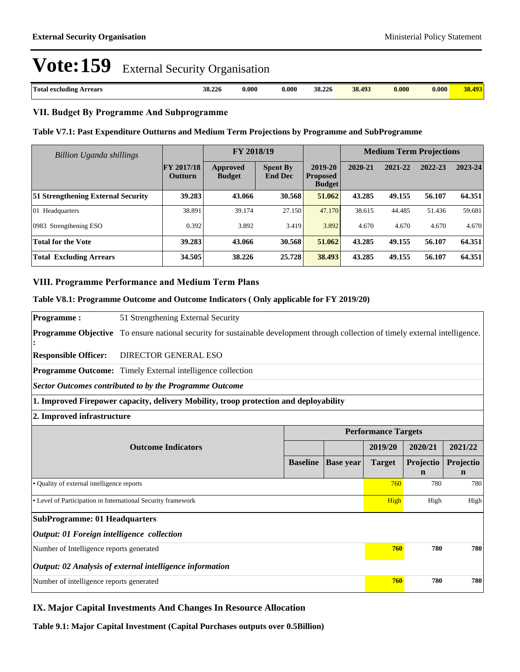| Total excluding<br>Arrears | 38.226 | $\boldsymbol{0.000}$ | $\boldsymbol{0.000}$ | 38.226 | 38.493 | 0.000 | 0.000 |  |
|----------------------------|--------|----------------------|----------------------|--------|--------|-------|-------|--|
|                            |        |                      |                      |        |        |       |       |  |

#### **VII. Budget By Programme And Subprogramme**

#### **Table V7.1: Past Expenditure Outturns and Medium Term Projections by Programme and SubProgramme**

| Billion Uganda shillings           |                                     | FY 2018/19                |                                   |                                             | <b>Medium Term Projections</b> |         |         |         |
|------------------------------------|-------------------------------------|---------------------------|-----------------------------------|---------------------------------------------|--------------------------------|---------|---------|---------|
|                                    | <b>FY 2017/18</b><br><b>Outturn</b> | Approved<br><b>Budget</b> | <b>Spent By</b><br><b>End Dec</b> | 2019-20<br><b>Proposed</b><br><b>Budget</b> | 2020-21                        | 2021-22 | 2022-23 | 2023-24 |
| 51 Strengthening External Security | 39.283                              | 43.066                    | 30.568                            | 51.062                                      | 43.285                         | 49.155  | 56.107  | 64.351  |
| 01 Headquarters                    | 38.891                              | 39.174                    | 27.150                            | 47.170                                      | 38.615                         | 44.485  | 51.436  | 59.681  |
| 0983 Strengthening ESO             | 0.392                               | 3.892                     | 3.419                             | 3.892                                       | 4.670                          | 4.670   | 4.670   | 4.670   |
| <b>Total for the Vote</b>          | 39.283                              | 43.066                    | 30.568                            | 51.062                                      | 43.285                         | 49.155  | 56.107  | 64.351  |
| <b>Total Excluding Arrears</b>     | 34.505                              | 38.226                    | 25.728                            | 38.493                                      | 43.285                         | 49.155  | 56.107  | 64.351  |

#### **VIII. Programme Performance and Medium Term Plans**

#### **Table V8.1: Programme Outcome and Outcome Indicators ( Only applicable for FY 2019/20)**

**Programme :** 51 Strengthening External Security

**Programme Objective** To ensure national security for sustainable development through collection of timely external intelligence.

**Responsible Officer:** DIRECTOR GENERAL ESO

**Programme Outcome:** Timely External intelligence collection

*Sector Outcomes contributed to by the Programme Outcome*

**1. Improved Firepower capacity, delivery Mobility, troop protection and deployability**

#### **2. Improved infrastructure**

**:**

|                                                              |                 |                  | <b>Performance Targets</b> |           |             |  |
|--------------------------------------------------------------|-----------------|------------------|----------------------------|-----------|-------------|--|
| <b>Outcome Indicators</b>                                    |                 |                  | 2019/20                    | 2020/21   | 2021/22     |  |
|                                                              | <b>Baseline</b> | <b>Base</b> year | <b>Target</b>              | Projectio | Projectio   |  |
|                                                              |                 |                  |                            | n         | $\mathbf n$ |  |
| • Quality of external intelligence reports                   |                 |                  | 760                        | 780       | 780         |  |
| • Level of Participation in International Security framework | High            | High             | High                       |           |             |  |
| <b>SubProgramme: 01 Headquarters</b>                         |                 |                  |                            |           |             |  |
| Output: 01 Foreign intelligence collection                   |                 |                  |                            |           |             |  |
| Number of Intelligence reports generated                     |                 |                  | 760                        | 780       | 780         |  |
| Output: 02 Analysis of external intelligence information     |                 |                  |                            |           |             |  |
| Number of intelligence reports generated                     |                 |                  | 760                        | 780       | 780         |  |

### **IX. Major Capital Investments And Changes In Resource Allocation**

**Table 9.1: Major Capital Investment (Capital Purchases outputs over 0.5Billion)**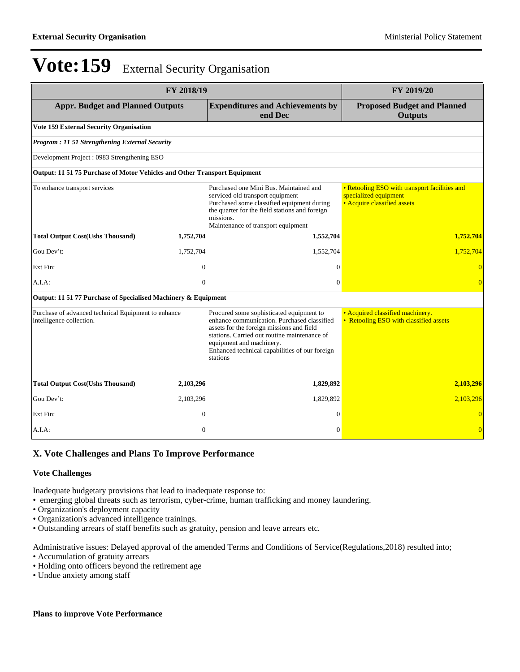|                                                                                 | FY 2019/20     |                                                                                                                                                                                                                                                                                |                                                                                                       |
|---------------------------------------------------------------------------------|----------------|--------------------------------------------------------------------------------------------------------------------------------------------------------------------------------------------------------------------------------------------------------------------------------|-------------------------------------------------------------------------------------------------------|
| <b>Appr. Budget and Planned Outputs</b>                                         |                | <b>Expenditures and Achievements by</b><br>end Dec                                                                                                                                                                                                                             | <b>Proposed Budget and Planned</b><br><b>Outputs</b>                                                  |
| <b>Vote 159 External Security Organisation</b>                                  |                |                                                                                                                                                                                                                                                                                |                                                                                                       |
| Program: 11 51 Strengthening External Security                                  |                |                                                                                                                                                                                                                                                                                |                                                                                                       |
| Development Project: 0983 Strengthening ESO                                     |                |                                                                                                                                                                                                                                                                                |                                                                                                       |
| Output: 11 51 75 Purchase of Motor Vehicles and Other Transport Equipment       |                |                                                                                                                                                                                                                                                                                |                                                                                                       |
| To enhance transport services                                                   |                | Purchased one Mini Bus. Maintained and<br>serviced old transport equipment<br>Purchased some classified equipment during<br>the quarter for the field stations and foreign<br>missions.<br>Maintenance of transport equipment                                                  | • Retooling ESO with transport facilities and<br>specialized equipment<br>• Acquire classified assets |
| <b>Total Output Cost(Ushs Thousand)</b>                                         | 1,752,704      | 1,552,704                                                                                                                                                                                                                                                                      | 1,752,704                                                                                             |
| Gou Dev't:                                                                      | 1,752,704      | 1,552,704                                                                                                                                                                                                                                                                      | 1,752,704                                                                                             |
| Ext Fin:                                                                        | $\overline{0}$ | $\mathbf{0}$                                                                                                                                                                                                                                                                   |                                                                                                       |
| A.I.A:                                                                          | $\overline{0}$ | $\Omega$                                                                                                                                                                                                                                                                       |                                                                                                       |
| Output: 11 51 77 Purchase of Specialised Machinery & Equipment                  |                |                                                                                                                                                                                                                                                                                |                                                                                                       |
| Purchase of advanced technical Equipment to enhance<br>intelligence collection. |                | Procured some sophisticated equipment to<br>enhance communication. Purchased classified<br>assets for the foreign missions and field<br>stations. Carried out routine maintenance of<br>equipment and machinery.<br>Enhanced technical capabilities of our foreign<br>stations | • Acquired classified machinery.<br>• Retooling ESO with classified assets                            |
| <b>Total Output Cost(Ushs Thousand)</b>                                         | 2,103,296      | 1,829,892                                                                                                                                                                                                                                                                      | 2,103,296                                                                                             |
| Gou Dev't:                                                                      | 2,103,296      | 1,829,892                                                                                                                                                                                                                                                                      | 2,103,296                                                                                             |
| Ext Fin:                                                                        | $\overline{0}$ | $\mathbf{0}$                                                                                                                                                                                                                                                                   |                                                                                                       |
| A.I.A:                                                                          | $\mathbf{0}$   | $\Omega$                                                                                                                                                                                                                                                                       | $\overline{0}$                                                                                        |

## **X. Vote Challenges and Plans To Improve Performance**

#### **Vote Challenges**

Inadequate budgetary provisions that lead to inadequate response to:

• emerging global threats such as terrorism, cyber-crime, human trafficking and money laundering.

- Organization's deployment capacity
- Organization's advanced intelligence trainings.

Outstanding arrears of staff benefits such as gratuity, pension and leave arrears etc.

Administrative issues: Delayed approval of the amended Terms and Conditions of Service(Regulations,2018) resulted into; Accumulation of gratuity arrears

- Holding onto officers beyond the retirement age
- Undue anxiety among staff

#### **Plans to improve Vote Performance**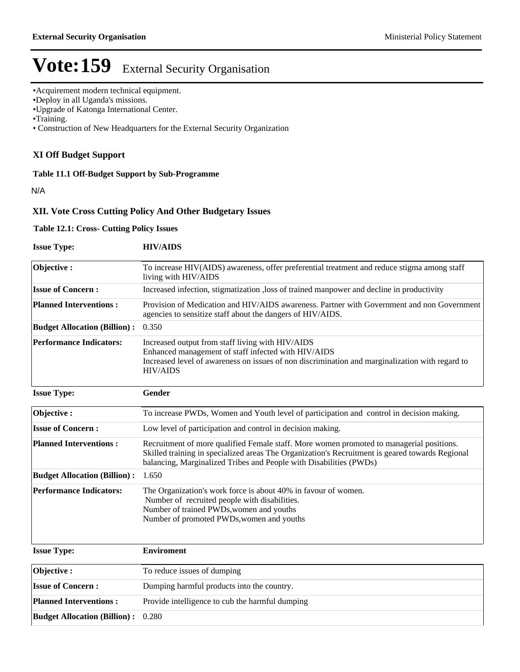Acquirement modern technical equipment.

Deploy in all Uganda's missions.

Upgrade of Katonga International Center.

Training.

Construction of New Headquarters for the External Security Organization

### **XI Off Budget Support**

#### **Table 11.1 Off-Budget Support by Sub-Programme**

N/A

#### **XII. Vote Cross Cutting Policy And Other Budgetary Issues**

#### **Table 12.1: Cross- Cutting Policy Issues**

**Issue Type: HIV/AIDS Objective :** To increase HIV(AIDS) awareness, offer preferential treatment and reduce stigma among staff living with HIV/AIDS **Issue of Concern :** Increased infection, stigmatization ,loss of trained manpower and decline in productivity **Planned Interventions :** Provision of Medication and HIV/AIDS awareness. Partner with Government and non Government agencies to sensitize staff about the dangers of HIV/AIDS. **Budget Allocation (Billion) :** 0.350 **Performance Indicators:** Increased output from staff living with HIV/AIDS Enhanced management of staff infected with HIV/AIDS Increased level of awareness on issues of non discrimination and marginalization with regard to HIV/AIDS **Issue Type: Gender Objective :** To increase PWDs, Women and Youth level of participation and control in decision making. **Issue of Concern :** Low level of participation and control in decision making. **Planned Interventions :** Recruitment of more qualified Female staff. More women promoted to managerial positions. Skilled training in specialized areas The Organization's Recruitment is geared towards Regional balancing, Marginalized Tribes and People with Disabilities (PWDs) **Budget Allocation (Billion) :** 1.650 **Performance Indicators:** The Organization's work force is about 40% in favour of women. Number of recruited people with disabilities. Number of trained PWDs,women and youths Number of promoted PWDs,women and youths **Issue Type: Enviroment Objective :** To reduce issues of dumping **Issue of Concern :** Dumping harmful products into the country. **Planned Interventions :** Provide intelligence to cub the harmful dumping

**Budget Allocation (Billion) :** 0.280